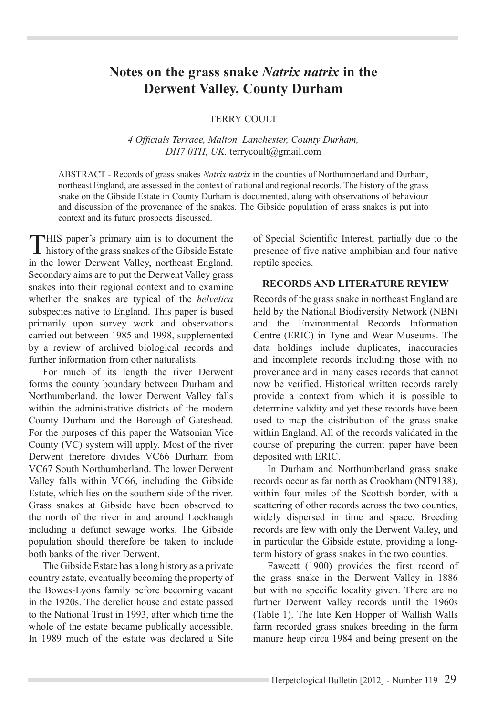# **Notes on the grass snake** *Natrix natrix* **in the Derwent Valley, County Durham**

#### **TERRY COULT**

*4 Officials Terrace, Malton, Lanchester, County Durham, DH7 0TH, UK.* terrycoult@gmail.com

ABSTRACT - Records of grass snakes *Natrix natrix* in the counties of Northumberland and Durham, northeast England, are assessed in the context of national and regional records. The history of the grass snake on the Gibside Estate in County Durham is documented, along with observations of behaviour and discussion of the provenance of the snakes. The Gibside population of grass snakes is put into context and its future prospects discussed.

This paper's primary aim is to document the history of the grass snakes of the Gibside Estate in the lower Derwent Valley, northeast England. Secondary aims are to put the Derwent Valley grass snakes into their regional context and to examine whether the snakes are typical of the *helvetica* subspecies native to England. This paper is based primarily upon survey work and observations carried out between 1985 and 1998, supplemented by a review of archived biological records and further information from other naturalists.

For much of its length the river Derwent forms the county boundary between Durham and Northumberland, the lower Derwent Valley falls within the administrative districts of the modern County Durham and the Borough of Gateshead. For the purposes of this paper the Watsonian Vice County (VC) system will apply. Most of the river Derwent therefore divides VC66 Durham from VC67 South Northumberland. The lower Derwent Valley falls within VC66, including the Gibside Estate, which lies on the southern side of the river. Grass snakes at Gibside have been observed to the north of the river in and around Lockhaugh including a defunct sewage works. The Gibside population should therefore be taken to include both banks of the river Derwent.

The Gibside Estate has a long history as a private country estate, eventually becoming the property of the Bowes-Lyons family before becoming vacant in the 1920s. The derelict house and estate passed to the National Trust in 1993, after which time the whole of the estate became publically accessible. In 1989 much of the estate was declared a Site

of Special Scientific Interest, partially due to the presence of five native amphibian and four native reptile species.

#### **RECORDS AND LITERATURE REVIEW**

Records of the grass snake in northeast England are held by the National Biodiversity Network (NBN) and the Environmental Records Information Centre (ERIC) in Tyne and Wear Museums. The data holdings include duplicates, inaccuracies and incomplete records including those with no provenance and in many cases records that cannot now be verified. Historical written records rarely provide a context from which it is possible to determine validity and yet these records have been used to map the distribution of the grass snake within England. All of the records validated in the course of preparing the current paper have been deposited with ERIC.

In Durham and Northumberland grass snake records occur as far north as Crookham (NT9138), within four miles of the Scottish border, with a scattering of other records across the two counties, widely dispersed in time and space. Breeding records are few with only the Derwent Valley, and in particular the Gibside estate, providing a longterm history of grass snakes in the two counties.

Fawcett (1900) provides the first record of the grass snake in the Derwent Valley in 1886 but with no specific locality given. There are no further Derwent Valley records until the 1960s (Table 1). The late Ken Hopper of Wallish Walls farm recorded grass snakes breeding in the farm manure heap circa 1984 and being present on the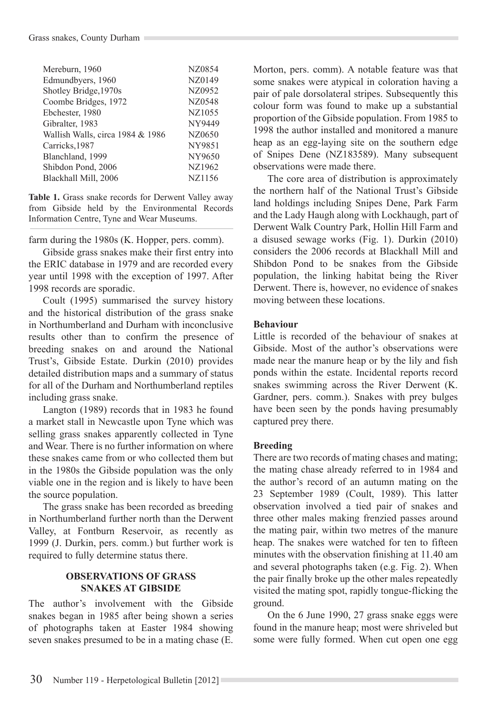| Mereburn, 1960                   | NZ0854        |
|----------------------------------|---------------|
| Edmundbyers, 1960                | NZ0149        |
| Shotley Bridge, 1970s            | NZ0952        |
| Coombe Bridges, 1972             | NZ0548        |
| Ebchester, 1980                  | NZ1055        |
| Gibralter, 1983                  | NY9449        |
| Wallish Walls, circa 1984 & 1986 | NZ0650        |
| Carricks, 1987                   | <b>NY9851</b> |
| Blanchland, 1999                 | NY9650        |
| Shibdon Pond, 2006               | NZ1962        |
| Blackhall Mill, 2006             | NZ1156        |

**Table 1.** Grass snake records for Derwent Valley away from Gibside held by the Environmental Records Information Centre, Tyne and Wear Museums.

farm during the 1980s (K. Hopper, pers. comm).

Gibside grass snakes make their first entry into the ERIC database in 1979 and are recorded every year until 1998 with the exception of 1997. After 1998 records are sporadic.

Coult (1995) summarised the survey history and the historical distribution of the grass snake in Northumberland and Durham with inconclusive results other than to confirm the presence of breeding snakes on and around the National Trust's, Gibside Estate. Durkin (2010) provides detailed distribution maps and a summary of status for all of the Durham and Northumberland reptiles including grass snake.

Langton (1989) records that in 1983 he found a market stall in Newcastle upon Tyne which was selling grass snakes apparently collected in Tyne and Wear. There is no further information on where these snakes came from or who collected them but in the 1980s the Gibside population was the only viable one in the region and is likely to have been the source population.

The grass snake has been recorded as breeding in Northumberland further north than the Derwent Valley, at Fontburn Reservoir, as recently as 1999 (J. Durkin, pers. comm.) but further work is required to fully determine status there.

## **OBSERVATIONS OF GRASS SNAKES AT GIBSIDE**

The author's involvement with the Gibside snakes began in 1985 after being shown a series of photographs taken at Easter 1984 showing seven snakes presumed to be in a mating chase (E.

Morton, pers. comm). A notable feature was that some snakes were atypical in coloration having a pair of pale dorsolateral stripes. Subsequently this colour form was found to make up a substantial proportion of the Gibside population. From 1985 to 1998 the author installed and monitored a manure heap as an egg-laying site on the southern edge of Snipes Dene (NZ183589). Many subsequent observations were made there.

The core area of distribution is approximately the northern half of the National Trust's Gibside land holdings including Snipes Dene, Park Farm and the Lady Haugh along with Lockhaugh, part of Derwent Walk Country Park, Hollin Hill Farm and a disused sewage works (Fig. 1). Durkin (2010) considers the 2006 records at Blackhall Mill and Shibdon Pond to be snakes from the Gibside population, the linking habitat being the River Derwent. There is, however, no evidence of snakes moving between these locations.

#### **Behaviour**

Little is recorded of the behaviour of snakes at Gibside. Most of the author's observations were made near the manure heap or by the lily and fish ponds within the estate. Incidental reports record snakes swimming across the River Derwent (K. Gardner, pers. comm.). Snakes with prey bulges have been seen by the ponds having presumably captured prey there.

## **Breeding**

There are two records of mating chases and mating; the mating chase already referred to in 1984 and the author's record of an autumn mating on the 23 September 1989 (Coult, 1989). This latter observation involved a tied pair of snakes and three other males making frenzied passes around the mating pair, within two metres of the manure heap. The snakes were watched for ten to fifteen minutes with the observation finishing at 11.40 am and several photographs taken (e.g. Fig. 2). When the pair finally broke up the other males repeatedly visited the mating spot, rapidly tongue-flicking the ground.

On the 6 June 1990, 27 grass snake eggs were found in the manure heap; most were shriveled but some were fully formed. When cut open one egg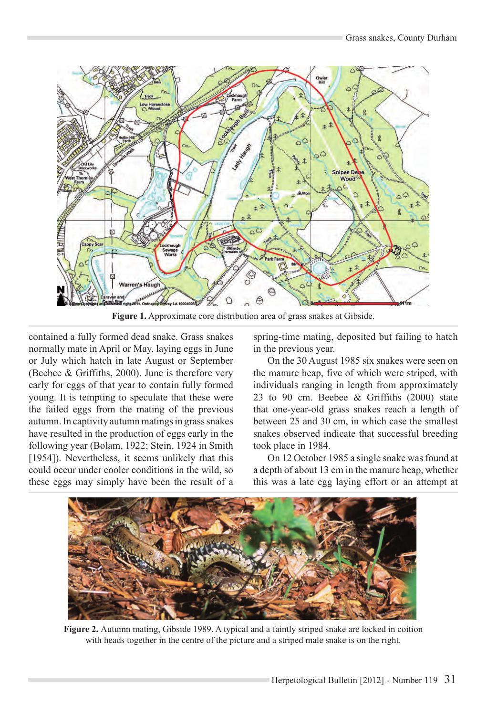

**Figure 1.** Approximate core distribution area of grass snakes at Gibside.

contained a fully formed dead snake. Grass snakes normally mate in April or May, laying eggs in June or July which hatch in late August or September (Beebee & Griffiths, 2000). June is therefore very early for eggs of that year to contain fully formed young. It is tempting to speculate that these were the failed eggs from the mating of the previous autumn. In captivity autumn matings in grass snakes have resulted in the production of eggs early in the following year (Bolam, 1922; Stein, 1924 in Smith [1954]). Nevertheless, it seems unlikely that this could occur under cooler conditions in the wild, so these eggs may simply have been the result of a

spring-time mating, deposited but failing to hatch in the previous year.

On the 30 August 1985 six snakes were seen on the manure heap, five of which were striped, with individuals ranging in length from approximately 23 to 90 cm. Beebee & Griffiths (2000) state that one-year-old grass snakes reach a length of between 25 and 30 cm, in which case the smallest snakes observed indicate that successful breeding took place in 1984.

On 12 October 1985 a single snake was found at a depth of about 13 cm in the manure heap, whether this was a late egg laying effort or an attempt at



**Figure 2.** Autumn mating, Gibside 1989. A typical and a faintly striped snake are locked in coition with heads together in the centre of the picture and a striped male snake is on the right.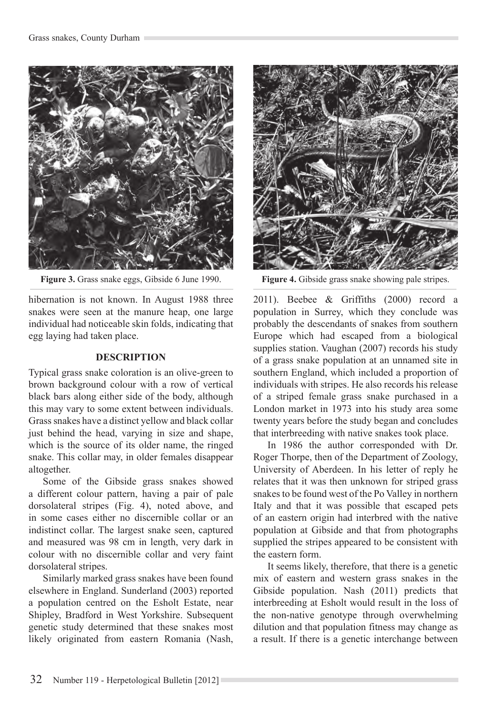

**Figure 3.** Grass snake eggs, Gibside 6 June 1990. **Figure 4.** Gibside grass snake showing pale stripes.

hibernation is not known. In August 1988 three snakes were seen at the manure heap, one large individual had noticeable skin folds, indicating that egg laying had taken place.

#### **DESCRIPTION**

Typical grass snake coloration is an olive-green to brown background colour with a row of vertical black bars along either side of the body, although this may vary to some extent between individuals. Grass snakes have a distinct yellow and black collar just behind the head, varying in size and shape, which is the source of its older name, the ringed snake. This collar may, in older females disappear altogether.

Some of the Gibside grass snakes showed a different colour pattern, having a pair of pale dorsolateral stripes (Fig. 4), noted above, and in some cases either no discernible collar or an indistinct collar. The largest snake seen, captured and measured was 98 cm in length, very dark in colour with no discernible collar and very faint dorsolateral stripes.

Similarly marked grass snakes have been found elsewhere in England. Sunderland (2003) reported a population centred on the Esholt Estate, near Shipley, Bradford in West Yorkshire. Subsequent genetic study determined that these snakes most likely originated from eastern Romania (Nash,



2011). Beebee & Griffiths (2000) record a population in Surrey, which they conclude was probably the descendants of snakes from southern Europe which had escaped from a biological supplies station. Vaughan (2007) records his study of a grass snake population at an unnamed site in southern England, which included a proportion of individuals with stripes. He also records his release of a striped female grass snake purchased in a London market in 1973 into his study area some twenty years before the study began and concludes that interbreeding with native snakes took place.

In 1986 the author corresponded with Dr. Roger Thorpe, then of the Department of Zoology, University of Aberdeen. In his letter of reply he relates that it was then unknown for striped grass snakes to be found west of the Po Valley in northern Italy and that it was possible that escaped pets of an eastern origin had interbred with the native population at Gibside and that from photographs supplied the stripes appeared to be consistent with the eastern form.

It seems likely, therefore, that there is a genetic mix of eastern and western grass snakes in the Gibside population. Nash (2011) predicts that interbreeding at Esholt would result in the loss of the non-native genotype through overwhelming dilution and that population fitness may change as a result. If there is a genetic interchange between